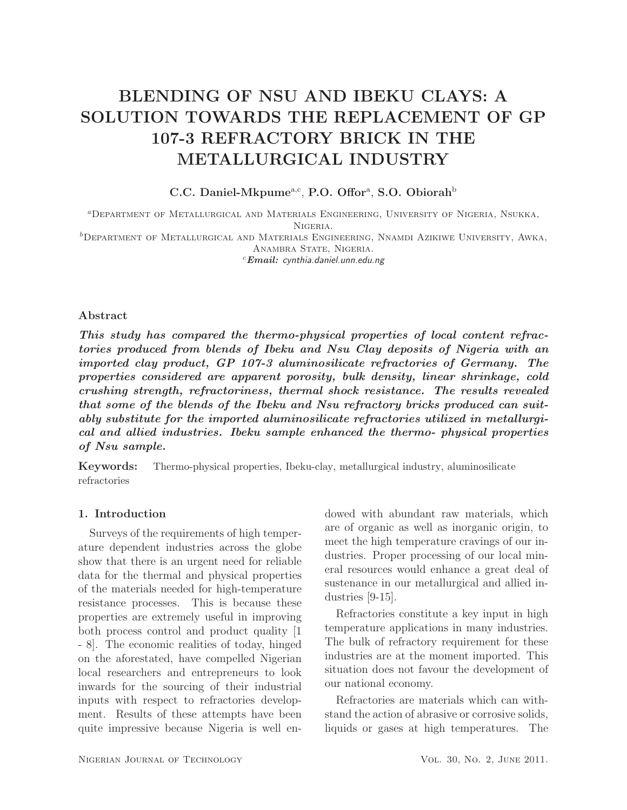# BLENDING OF NSU AND IBEKU CLAYS: A SOLUTION TOWARDS THE REPLACEMENT OF GP 107-3 REFRACTORY BRICK IN THE METALLURGICAL INDUSTRY

# C.C. Daniel-Mkpume<sup>a,c</sup>, P.O. Offor<sup>a</sup>, S.O. Obiorah<sup>b</sup>

<sup>a</sup>Department of Metallurgical and Materials Engineering, University of Nigeria, Nsukka, Nigeria.  ${}^b$ Department of Metallurgical and Materials Engineering, Nnamdi Azikiwe University, Awka, ANAMBRA STATE, NIGERIA. <sup>c</sup>*Email:* cynthia.daniel.unn.edu.ng

### Abstract

*This study has compared the thermo-physical properties of local content refractories produced from blends of Ibeku and Nsu Clay deposits of Nigeria with an imported clay product, GP 107-3 aluminosilicate refractories of Germany. The properties considered are apparent porosity, bulk density, linear shrinkage, cold crushing strength, refractoriness, thermal shock resistance. The results revealed that some of the blends of the Ibeku and Nsu refractory bricks produced can suitably substitute for the imported aluminosilicate refractories utilized in metallurgical and allied industries. Ibeku sample enhanced the thermo- physical properties of Nsu sample.*

Keywords: Thermo-physical properties, Ibeku-clay, metallurgical industry, aluminosilicate refractories

## 1. Introduction

Surveys of the requirements of high temperature dependent industries across the globe show that there is an urgent need for reliable data for the thermal and physical properties of the materials needed for high-temperature resistance processes. This is because these properties are extremely useful in improving both process control and product quality [1 - 8]. The economic realities of today, hinged on the aforestated, have compelled Nigerian local researchers and entrepreneurs to look inwards for the sourcing of their industrial inputs with respect to refractories development. Results of these attempts have been quite impressive because Nigeria is well endowed with abundant raw materials, which are of organic as well as inorganic origin, to meet the high temperature cravings of our industries. Proper processing of our local mineral resources would enhance a great deal of sustenance in our metallurgical and allied industries [9-15].

Refractories constitute a key input in high temperature applications in many industries. The bulk of refractory requirement for these industries are at the moment imported. This situation does not favour the development of our national economy.

Refractories are materials which can withstand the action of abrasive or corrosive solids, liquids or gases at high temperatures. The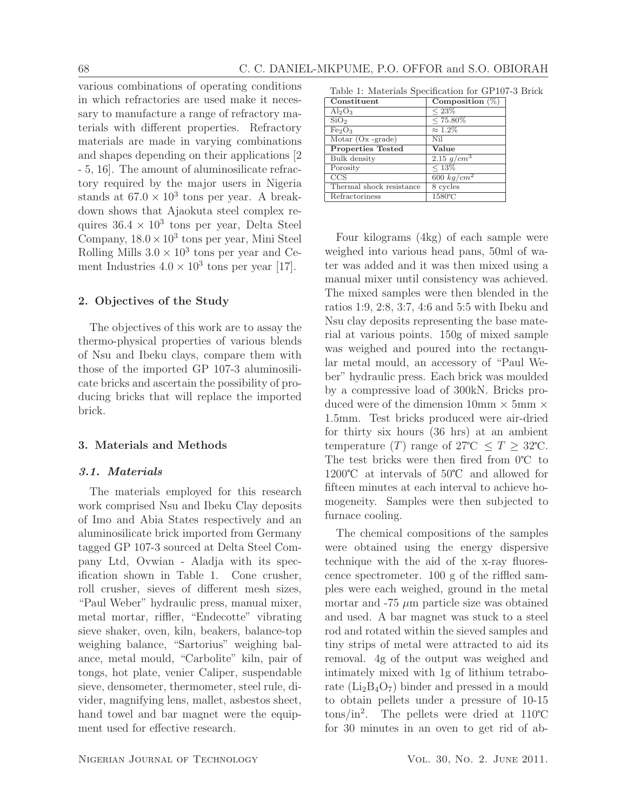various combinations of operating conditions in which refractories are used make it necessary to manufacture a range of refractory materials with different properties. Refractory materials are made in varying combinations and shapes depending on their applications [2 - 5, 16]. The amount of aluminosilicate refractory required by the major users in Nigeria stands at  $67.0 \times 10^3$  tons per year. A breakdown shows that Ajaokuta steel complex requires  $36.4 \times 10^3$  tons per year, Delta Steel Company,  $18.0 \times 10^3$  tons per year, Mini Steel Rolling Mills  $3.0 \times 10^3$  tons per year and Cement Industries  $4.0 \times 10^3$  tons per year [17].

# 2. Objectives of the Study

The objectives of this work are to assay the thermo-physical properties of various blends of Nsu and Ibeku clays, compare them with those of the imported GP 107-3 aluminosilicate bricks and ascertain the possibility of producing bricks that will replace the imported brick.

#### 3. Materials and Methods

#### *3.1. Materials*

The materials employed for this research work comprised Nsu and Ibeku Clay deposits of Imo and Abia States respectively and an aluminosilicate brick imported from Germany tagged GP 107-3 sourced at Delta Steel Company Ltd, Ovwian - Aladja with its specification shown in Table 1. Cone crusher, roll crusher, sieves of different mesh sizes, "Paul Weber" hydraulic press, manual mixer, metal mortar, riffler, "Endecotte" vibrating sieve shaker, oven, kiln, beakers, balance-top weighing balance, "Sartorius" weighing balance, metal mould, "Carbolite" kiln, pair of tongs, hot plate, venier Caliper, suspendable sieve, densometer, thermometer, steel rule, divider, magnifying lens, mallet, asbestos sheet, hand towel and bar magnet were the equipment used for effective research.

Table 1: Materials Specification for GP107-3 Brick Constituent | Composition  $(\%)$ 

| Constituent                    | Composition $(\%)$ |
|--------------------------------|--------------------|
| $Al_2O_3$                      | $< 23\%$           |
| SiO <sub>2</sub>               | $< 75.80\%$        |
| Fe <sub>2</sub> O <sub>3</sub> | $\approx 1.2\%$    |
| Motar $(Ox - grade)$           | Nil                |
| <b>Properties Tested</b>       | Value              |
| Bulk density                   | 2.15 $g/cm^{3}$    |
| Porosity                       | $< 13\%$           |
| CCS                            | 600 $kg/cm^2$      |
| Thermal shock resistance       | 8 cycles           |
| Refractoriness                 | 1580°C             |

Four kilograms (4kg) of each sample were weighed into various head pans, 50ml of water was added and it was then mixed using a manual mixer until consistency was achieved. The mixed samples were then blended in the ratios 1:9, 2:8, 3:7, 4:6 and 5:5 with Ibeku and Nsu clay deposits representing the base material at various points. 150g of mixed sample was weighed and poured into the rectangular metal mould, an accessory of "Paul Weber" hydraulic press. Each brick was moulded by a compressive load of 300kN. Bricks produced were of the dimension  $10 \text{mm} \times 5 \text{mm} \times$ 1.5mm. Test bricks produced were air-dried for thirty six hours (36 hrs) at an ambient temperature (T) range of  $27^{\circ}\text{C} \leq T \geq 32^{\circ}\text{C}$ . The test bricks were then fired from  $0^{\circ}C$  to 1200 $\degree$ C at intervals of 50 $\degree$ C and allowed for fifteen minutes at each interval to achieve homogeneity. Samples were then subjected to furnace cooling.

The chemical compositions of the samples were obtained using the energy dispersive technique with the aid of the x-ray fluorescence spectrometer. 100 g of the riffled samples were each weighed, ground in the metal mortar and  $-75 \mu m$  particle size was obtained and used. A bar magnet was stuck to a steel rod and rotated within the sieved samples and tiny strips of metal were attracted to aid its removal. 4g of the output was weighed and intimately mixed with 1g of lithium tetraborate  $(Li<sub>2</sub>B<sub>4</sub>O<sub>7</sub>)$  binder and pressed in a mould to obtain pellets under a pressure of 10-15  $\frac{\text{tons}}{\text{in}^2}$ . The pellets were dried at 110°C for 30 minutes in an oven to get rid of ab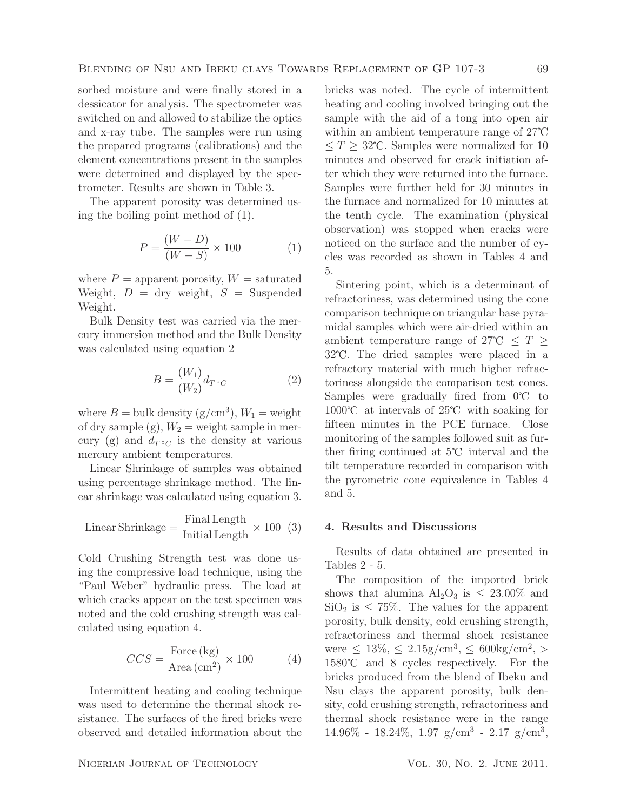sorbed moisture and were finally stored in a dessicator for analysis. The spectrometer was switched on and allowed to stabilize the optics and x-ray tube. The samples were run using the prepared programs (calibrations) and the element concentrations present in the samples were determined and displayed by the spectrometer. Results are shown in Table 3.

The apparent porosity was determined using the boiling point method of (1).

$$
P = \frac{(W - D)}{(W - S)} \times 100
$$
 (1)

where  $P =$  apparent porosity,  $W =$  saturated Weight,  $D = \text{dry weight}, S = \text{Suspended}$ Weight.

Bulk Density test was carried via the mercury immersion method and the Bulk Density was calculated using equation 2

$$
B = \frac{(W_1)}{(W_2)} d_{T \circ C} \tag{2}
$$

where  $B = \text{bulk density } (g/\text{cm}^3), W_1 = \text{weight}$ of dry sample (g),  $W_2$  = weight sample in mercury (g) and  $d_{T} \circ_C$  is the density at various mercury ambient temperatures.

Linear Shrinkage of samples was obtained using percentage shrinkage method. The linear shrinkage was calculated using equation 3.

Linear Shrinkage = 
$$
\frac{\text{Final Length}}{\text{Initial Length}} \times 100 \quad (3)
$$

Cold Crushing Strength test was done using the compressive load technique, using the "Paul Weber" hydraulic press. The load at which cracks appear on the test specimen was noted and the cold crushing strength was calculated using equation 4.

$$
CCS = \frac{\text{Force (kg)}}{\text{Area (cm}^2)} \times 100 \tag{4}
$$

Intermittent heating and cooling technique was used to determine the thermal shock resistance. The surfaces of the fired bricks were observed and detailed information about the

bricks was noted. The cycle of intermittent heating and cooling involved bringing out the sample with the aid of a tong into open air within an ambient temperature range of 27<sup>°</sup>C  $\leq T \geq 32^{\circ}\text{C}$ . Samples were normalized for 10 minutes and observed for crack initiation after which they were returned into the furnace. Samples were further held for 30 minutes in the furnace and normalized for 10 minutes at the tenth cycle. The examination (physical observation) was stopped when cracks were noticed on the surface and the number of cycles was recorded as shown in Tables 4 and 5.

Sintering point, which is a determinant of refractoriness, was determined using the cone comparison technique on triangular base pyramidal samples which were air-dried within an ambient temperature range of 27°C  $\leq T \geq$ 32°C. The dried samples were placed in a refractory material with much higher refractoriness alongside the comparison test cones. Samples were gradually fired from  $0^{\circ}C$  to  $1000^{\circ}$ C at intervals of 25 $^{\circ}$ C with soaking for fifteen minutes in the PCE furnace. Close monitoring of the samples followed suit as further firing continued at  $5^{\circ}$ C interval and the tilt temperature recorded in comparison with the pyrometric cone equivalence in Tables 4 and 5.

#### 4. Results and Discussions

Results of data obtained are presented in Tables 2 - 5.

The composition of the imported brick shows that alumina  $\text{Al}_2\text{O}_3$  is  $\leq 23.00\%$  and  $\text{SiO}_2$  is  $\leq 75\%$ . The values for the apparent porosity, bulk density, cold crushing strength, refractoriness and thermal shock resistance were  $\leq 13\%, \leq 2.15$ g/cm<sup>3</sup>,  $\leq 600$ kg/cm<sup>2</sup>, > 1580°C and 8 cycles respectively. For the bricks produced from the blend of Ibeku and Nsu clays the apparent porosity, bulk density, cold crushing strength, refractoriness and thermal shock resistance were in the range  $14.96\% - 18.24\%, 1.97$  g/cm<sup>3</sup> - 2.17 g/cm<sup>3</sup>,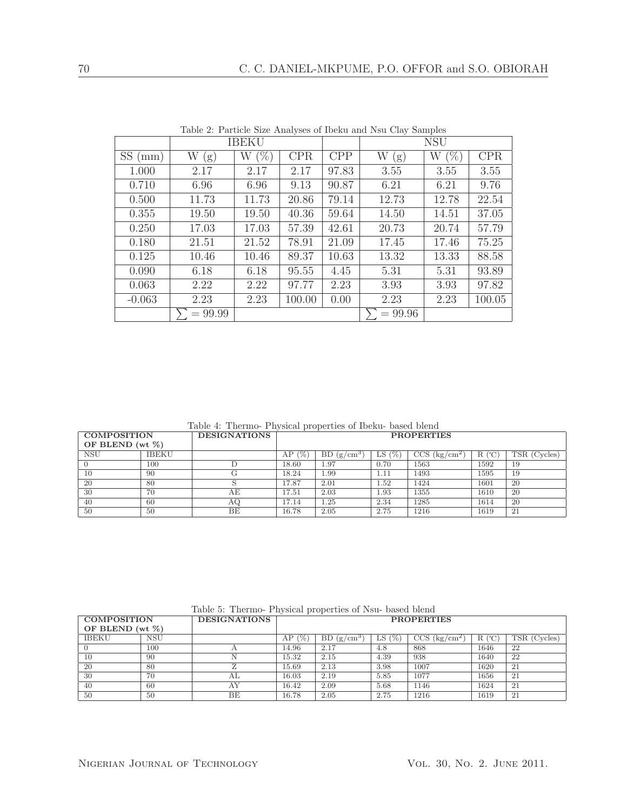| Table 2: Particle Size Analyses of Ibeku and Nsu Clay Samples |  |  |  |  |
|---------------------------------------------------------------|--|--|--|--|
|---------------------------------------------------------------|--|--|--|--|

|                  | <b>IBEKU</b> |              |            |       | <b>NSU</b> |             |        |
|------------------|--------------|--------------|------------|-------|------------|-------------|--------|
| SS<br>$\pmod{m}$ | W<br>(g)     | $(\% )$<br>W | <b>CPR</b> | CPP   | W<br>(g)   | $(\%)$<br>W | CPR    |
| 1.000            | 2.17         | 2.17         | 2.17       | 97.83 | 3.55       | 3.55        | 3.55   |
| 0.710            | 6.96         | 6.96         | 9.13       | 90.87 | 6.21       | 6.21        | 9.76   |
| 0.500            | 11.73        | 11.73        | 20.86      | 79.14 | 12.73      | 12.78       | 22.54  |
| 0.355            | 19.50        | 19.50        | 40.36      | 59.64 | 14.50      | 14.51       | 37.05  |
| 0.250            | 17.03        | 17.03        | 57.39      | 42.61 | 20.73      | 20.74       | 57.79  |
| 0.180            | 21.51        | 21.52        | 78.91      | 21.09 | 17.45      | 17.46       | 75.25  |
| 0.125            | 10.46        | 10.46        | 89.37      | 10.63 | 13.32      | 13.33       | 88.58  |
| 0.090            | 6.18         | 6.18         | 95.55      | 4.45  | 5.31       | 5.31        | 93.89  |
| 0.063            | 2.22         | 2.22         | 97.77      | 2.23  | 3.93       | 3.93        | 97.82  |
| $-0.063$         | 2.23         | 2.23         | 100.00     | 0.00  | 2.23       | 2.23        | 100.05 |
|                  | $= 99.99$    |              |            |       | $= 99.96$  |             |        |

Table 4: Thermo- Physical properties of Ibeku- based blend

| <b>COMPOSITION</b>  |              | <b>DESIGNATIONS</b> | <b>PROPERTIES</b> |                             |               |                            |          |              |
|---------------------|--------------|---------------------|-------------------|-----------------------------|---------------|----------------------------|----------|--------------|
| OF BLEND (wt $\%$ ) |              |                     |                   |                             |               |                            |          |              |
| <b>NSU</b>          | <b>IBEKU</b> |                     | AP<br>l %         | BD.<br>(g/cm <sup>3</sup> ) | $(\% )$<br>LS | $CCS$ (kg/cm <sup>2)</sup> | (°C<br>R | TSR (Cycles) |
|                     | 100          |                     | 18.60             | 1.97                        | 0.70          | 1563                       | 1592     | 19           |
| 10                  | 90           | G                   | 18.24             | 1.99                        | 1.11          | 1493                       | 1595     | 19           |
| 20                  | 80           |                     | 17.87             | 2.01                        | 1.52          | 1424                       | 1601     | 20           |
| 30                  | 70           | АE                  | 17.51             | 2.03                        | 1.93          | 1355                       | 1610     | 20           |
| 40                  | 60           | ΑQ                  | 17.14             | 1.25                        | 2.34          | 1285                       | 1614     | 20           |
| 50                  | 50           | ВE                  | 16.78             | 2.05                        | 2.75          | 1216                       | 1619     | 21           |

Table 5: Thermo- Physical properties of Nsu- based blend

| <b>COMPOSITION</b>  |            | <b>DESIGNATIONS</b> | <b>PROPERTIES</b>   |                           |          |                               |           |              |
|---------------------|------------|---------------------|---------------------|---------------------------|----------|-------------------------------|-----------|--------------|
| OF BLEND (wt $\%$ ) |            |                     |                     |                           |          |                               |           |              |
| <b>IBEKU</b>        | <b>NSU</b> |                     | $\frac{1}{2}$<br>AP | <b>BD</b><br>$(g/cm^{3})$ | 0%<br>LS | $CCS~(\text{kg}/\text{cm}^2)$ | (°C)<br>R | TSR (Cycles) |
|                     | 100        |                     | 14.96               | 2.17                      | 4.8      | 868                           | 1646      | 22           |
| 10                  | 90         |                     | 15.32               | 2.15                      | 4.39     | 938                           | 1640      | 22           |
| 20                  | 80         | $\prime$            | 15.69               | 2.13                      | 3.98     | 1007                          | 1620      | 21           |
| -30                 | 70         | AL                  | 16.03               | 2.19                      | 5.85     | 1077                          | 1656      | 21           |
| 40                  | -60        | AY                  | 16.42               | 2.09                      | 5.68     | 1146                          | 1624      | 21           |
| 50                  | 50         | BE                  | 16.78               | 2.05                      | 2.75     | 1216                          | 1619      | 21           |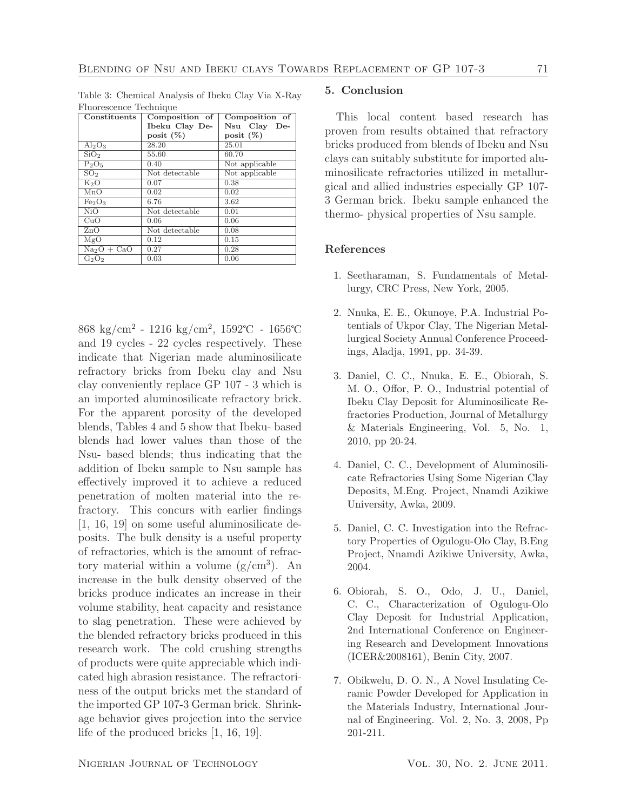Table 3: Chemical Analysis of Ibeku Clay Via X-Ray Fluorescence Technique

| Constituents                   | Composition of | Composition of |
|--------------------------------|----------------|----------------|
|                                | Ibeku Clay De- | Nsu Clay De-   |
|                                | posit $(\%)$   | posit $(\%)$   |
| $Al_2O_3$                      | 28.20          | 25.01          |
| SiO <sub>2</sub>               | 55.60          | 60.70          |
| $P_2O_5$                       | 0.40           | Not applicable |
| SO <sub>2</sub>                | Not detectable | Not applicable |
| $K_2O$                         | 0.07           | 0.38           |
| MnO                            | 0.02           | 0.02           |
| Fe <sub>2</sub> O <sub>3</sub> | 6.76           | 3.62           |
| NiO                            | Not detectable | 0.01           |
| CuO                            | 0.06           | 0.06           |
| ZnO                            | Not detectable | 0.08           |
| MgO                            | 0.12           | 0.15           |
| $Na2O + CaO$                   | 0.27           | 0.28           |
| $G_2O_2$                       | 0.03           | 0.06           |

 $868 \text{ kg/cm}^2$  - 1216 kg/cm<sup>2</sup>, 1592°C - 1656°C and 19 cycles - 22 cycles respectively. These indicate that Nigerian made aluminosilicate refractory bricks from Ibeku clay and Nsu clay conveniently replace GP 107 - 3 which is an imported aluminosilicate refractory brick. For the apparent porosity of the developed blends, Tables 4 and 5 show that Ibeku- based blends had lower values than those of the Nsu- based blends; thus indicating that the addition of Ibeku sample to Nsu sample has effectively improved it to achieve a reduced penetration of molten material into the refractory. This concurs with earlier findings [1, 16, 19] on some useful aluminosilicate deposits. The bulk density is a useful property of refractories, which is the amount of refractory material within a volume  $(g/cm^3)$ . An increase in the bulk density observed of the bricks produce indicates an increase in their volume stability, heat capacity and resistance to slag penetration. These were achieved by the blended refractory bricks produced in this research work. The cold crushing strengths of products were quite appreciable which indicated high abrasion resistance. The refractoriness of the output bricks met the standard of the imported GP 107-3 German brick. Shrinkage behavior gives projection into the service life of the produced bricks [1, 16, 19].

# 5. Conclusion

This local content based research has proven from results obtained that refractory bricks produced from blends of Ibeku and Nsu clays can suitably substitute for imported aluminosilicate refractories utilized in metallurgical and allied industries especially GP 107- 3 German brick. Ibeku sample enhanced the thermo- physical properties of Nsu sample.

#### References

- 1. Seetharaman, S. Fundamentals of Metallurgy, CRC Press, New York, 2005.
- 2. Nnuka, E. E., Okunoye, P.A. Industrial Potentials of Ukpor Clay, The Nigerian Metallurgical Society Annual Conference Proceedings, Aladja, 1991, pp. 34-39.
- 3. Daniel, C. C., Nnuka, E. E., Obiorah, S. M. O., Offor, P. O., Industrial potential of Ibeku Clay Deposit for Aluminosilicate Refractories Production, Journal of Metallurgy & Materials Engineering, Vol. 5, No. 1, 2010, pp 20-24.
- 4. Daniel, C. C., Development of Aluminosilicate Refractories Using Some Nigerian Clay Deposits, M.Eng. Project, Nnamdi Azikiwe University, Awka, 2009.
- 5. Daniel, C. C. Investigation into the Refractory Properties of Ogulogu-Olo Clay, B.Eng Project, Nnamdi Azikiwe University, Awka, 2004.
- 6. Obiorah, S. O., Odo, J. U., Daniel, C. C., Characterization of Ogulogu-Olo Clay Deposit for Industrial Application, 2nd International Conference on Engineering Research and Development Innovations (ICER&2008161), Benin City, 2007.
- 7. Obikwelu, D. O. N., A Novel Insulating Ceramic Powder Developed for Application in the Materials Industry, International Journal of Engineering. Vol. 2, No. 3, 2008, Pp 201-211.